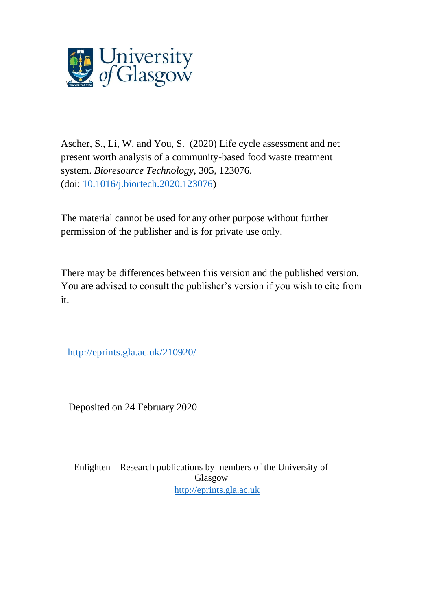

Ascher, S., Li, W. and You, S. (2020) Life cycle assessment and net present worth analysis of a community-based food waste treatment system. *Bioresource Technology*, 305, 123076. (doi: [10.1016/j.biortech.2020.123076\)](http://dx.doi.org/10.1016/j.biortech.2020.123076)

The material cannot be used for any other purpose without further permission of the publisher and is for private use only.

There may be differences between this version and the published version. You are advised to consult the publisher's version if you wish to cite from it.

<http://eprints.gla.ac.uk/210920/>

Deposited on 24 February 2020

Enlighten – Research publications by members of the University of Glasgow [http://eprints.gla.ac.uk](http://eprints.gla.ac.uk/)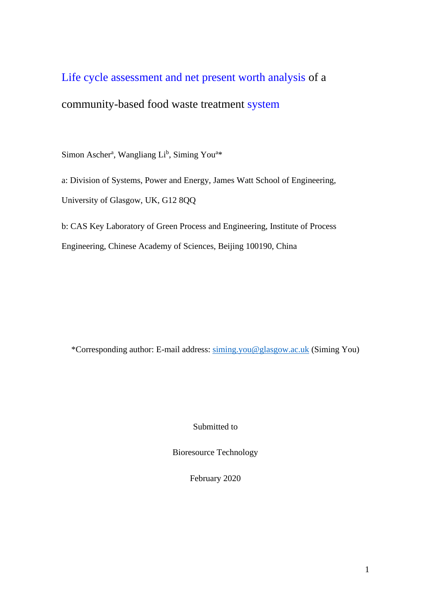# Life cycle assessment and net present worth analysis of a

## community-based food waste treatment system

Simon Ascher<sup>a</sup>, Wangliang Li<sup>b</sup>, Siming You<sup>a\*</sup>

a: Division of Systems, Power and Energy, James Watt School of Engineering, University of Glasgow, UK, G12 8QQ

b: CAS Key Laboratory of Green Process and Engineering, Institute of Process

Engineering, Chinese Academy of Sciences, Beijing 100190, China

\*Corresponding author: E-mail address: [siming.you@glasgow.ac.uk](mailto:siming.you@glasgow.ac.uk) (Siming You)

Submitted to

Bioresource Technology

February 2020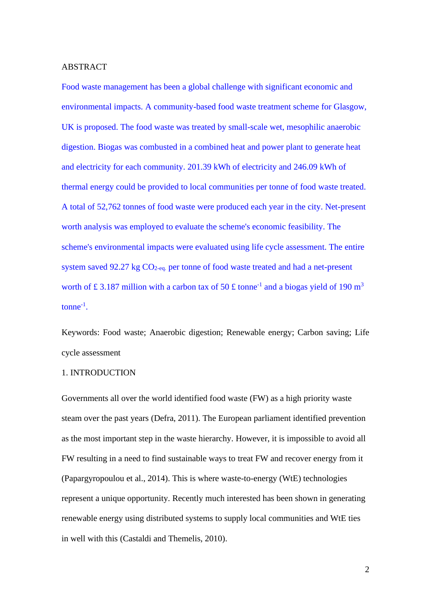#### ABSTRACT

Food waste management has been a global challenge with significant economic and environmental impacts. A community-based food waste treatment scheme for Glasgow, UK is proposed. The food waste was treated by small-scale wet, mesophilic anaerobic digestion. Biogas was combusted in a combined heat and power plant to generate heat and electricity for each community. 201.39 kWh of electricity and 246.09 kWh of thermal energy could be provided to local communities per tonne of food waste treated. A total of 52,762 tonnes of food waste were produced each year in the city. Net-present worth analysis was employed to evaluate the scheme's economic feasibility. The scheme's environmental impacts were evaluated using life cycle assessment. The entire system saved 92.27 kg  $CO<sub>2-ea</sub>$  per tonne of food waste treated and had a net-present worth of £3.187 million with a carbon tax of 50 £ tonne<sup>-1</sup> and a biogas yield of 190 m<sup>3</sup>  $tonne^{-1}$ .

Keywords: Food waste; Anaerobic digestion; Renewable energy; Carbon saving; Life cycle assessment

#### 1. INTRODUCTION

Governments all over the world identified food waste (FW) as a high priority waste steam over the past years (Defra, 2011). The European parliament identified prevention as the most important step in the waste hierarchy. However, it is impossible to avoid all FW resulting in a need to find sustainable ways to treat FW and recover energy from it (Papargyropoulou et al., 2014). This is where waste-to-energy (WtE) technologies represent a unique opportunity. Recently much interested has been shown in generating renewable energy using distributed systems to supply local communities and WtE ties in well with this (Castaldi and Themelis, 2010).

 $\mathcal{L}$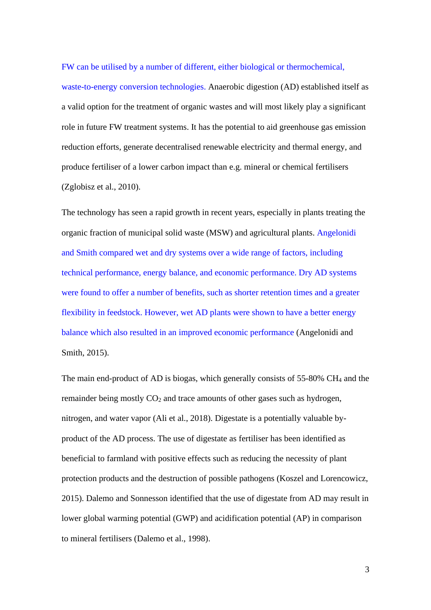FW can be utilised by a number of different, either biological or thermochemical, waste-to-energy conversion technologies. Anaerobic digestion (AD) established itself as a valid option for the treatment of organic wastes and will most likely play a significant role in future FW treatment systems. It has the potential to aid greenhouse gas emission reduction efforts, generate decentralised renewable electricity and thermal energy, and produce fertiliser of a lower carbon impact than e.g. mineral or chemical fertilisers (Zglobisz et al., 2010).

The technology has seen a rapid growth in recent years, especially in plants treating the organic fraction of municipal solid waste (MSW) and agricultural plants. Angelonidi and Smith compared wet and dry systems over a wide range of factors, including technical performance, energy balance, and economic performance. Dry AD systems were found to offer a number of benefits, such as shorter retention times and a greater flexibility in feedstock. However, wet AD plants were shown to have a better energy balance which also resulted in an improved economic performance (Angelonidi and Smith, 2015).

The main end-product of AD is biogas, which generally consists of 55-80% CH<sup>4</sup> and the remainder being mostly  $CO<sub>2</sub>$  and trace amounts of other gases such as hydrogen, nitrogen, and water vapor (Ali et al., 2018). Digestate is a potentially valuable byproduct of the AD process. The use of digestate as fertiliser has been identified as beneficial to farmland with positive effects such as reducing the necessity of plant protection products and the destruction of possible pathogens (Koszel and Lorencowicz, 2015). Dalemo and Sonnesson identified that the use of digestate from AD may result in lower global warming potential (GWP) and acidification potential (AP) in comparison to mineral fertilisers (Dalemo et al., 1998).

3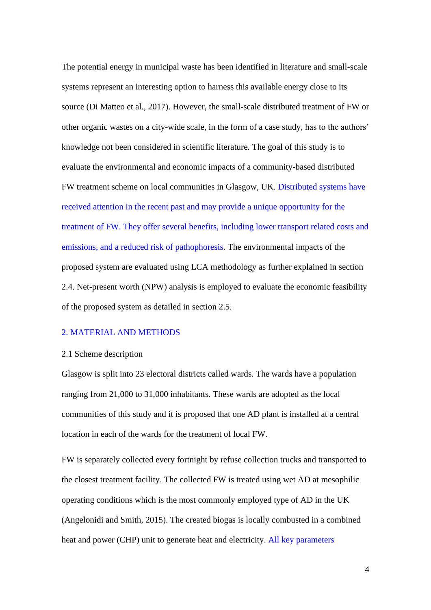The potential energy in municipal waste has been identified in literature and small-scale systems represent an interesting option to harness this available energy close to its source (Di Matteo et al., 2017). However, the small-scale distributed treatment of FW or other organic wastes on a city-wide scale, in the form of a case study, has to the authors' knowledge not been considered in scientific literature. The goal of this study is to evaluate the environmental and economic impacts of a community-based distributed FW treatment scheme on local communities in Glasgow, UK. Distributed systems have received attention in the recent past and may provide a unique opportunity for the treatment of FW. They offer several benefits, including lower transport related costs and emissions, and a reduced risk of pathophoresis. The environmental impacts of the proposed system are evaluated using LCA methodology as further explained in section 2.4. Net-present worth (NPW) analysis is employed to evaluate the economic feasibility of the proposed system as detailed in section 2.5.

## 2. MATERIAL AND METHODS

#### 2.1 Scheme description

Glasgow is split into 23 electoral districts called wards. The wards have a population ranging from 21,000 to 31,000 inhabitants. These wards are adopted as the local communities of this study and it is proposed that one AD plant is installed at a central location in each of the wards for the treatment of local FW.

FW is separately collected every fortnight by refuse collection trucks and transported to the closest treatment facility. The collected FW is treated using wet AD at mesophilic operating conditions which is the most commonly employed type of AD in the UK (Angelonidi and Smith, 2015). The created biogas is locally combusted in a combined heat and power (CHP) unit to generate heat and electricity. All key parameters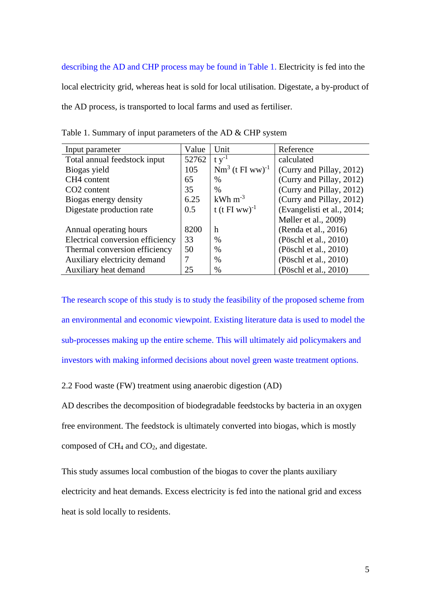describing the AD and CHP process may be found in Table 1. Electricity is fed into the local electricity grid, whereas heat is sold for local utilisation. Digestate, a by-product of the AD process, is transported to local farms and used as fertiliser.

| Input parameter                  | Value | Unit                             | Reference                  |
|----------------------------------|-------|----------------------------------|----------------------------|
| Total annual feedstock input     | 52762 | $t v^{-1}$                       | calculated                 |
| Biogas yield                     | 105   | $Nm^{3}$ (t FI ww) <sup>-1</sup> | (Curry and Pillay, 2012)   |
| CH4 content                      | 65    | $\%$                             | (Curry and Pillay, 2012)   |
| CO <sub>2</sub> content          | 35    | $\%$                             | (Curry and Pillay, 2012)   |
| Biogas energy density            | 6.25  | $kWh$ m <sup>-3</sup>            | (Curry and Pillay, 2012)   |
| Digestate production rate        | 0.5   | t (t FI ww) <sup>-1</sup>        | (Evangelisti et al., 2014; |
|                                  |       |                                  | Møller et al., 2009)       |
| Annual operating hours           | 8200  | h                                | (Renda et al., 2016)       |
| Electrical conversion efficiency | 33    | $\%$                             | (Pöschl et al., 2010)      |
| Thermal conversion efficiency    | 50    | $\%$                             | (Pöschl et al., 2010)      |
| Auxiliary electricity demand     | 7     | $\%$                             | (Pöschl et al., 2010)      |
| Auxiliary heat demand            | 25    | $\%$                             | (Pöschl et al., 2010)      |

Table 1. Summary of input parameters of the AD & CHP system

The research scope of this study is to study the feasibility of the proposed scheme from an environmental and economic viewpoint. Existing literature data is used to model the sub-processes making up the entire scheme. This will ultimately aid policymakers and investors with making informed decisions about novel green waste treatment options.

2.2 Food waste (FW) treatment using anaerobic digestion (AD)

AD describes the decomposition of biodegradable feedstocks by bacteria in an oxygen free environment. The feedstock is ultimately converted into biogas, which is mostly composed of CH<sup>4</sup> and CO2, and digestate.

This study assumes local combustion of the biogas to cover the plants auxiliary electricity and heat demands. Excess electricity is fed into the national grid and excess heat is sold locally to residents.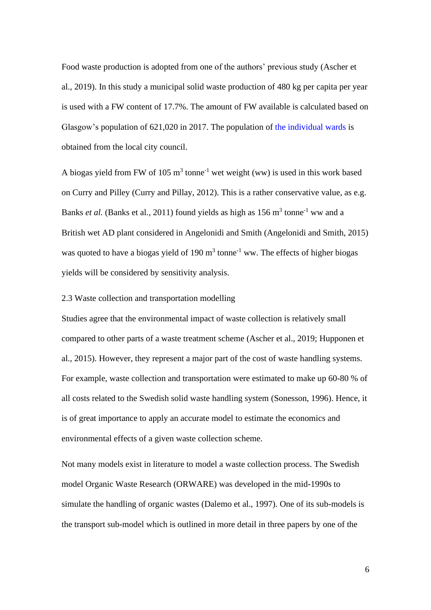Food waste production is adopted from one of the authors' previous study (Ascher et al., 2019). In this study a municipal solid waste production of 480 kg per capita per year is used with a FW content of 17.7%. The amount of FW available is calculated based on Glasgow's population of 621,020 in 2017. The population of the individual wards is obtained from the local city council.

A biogas yield from FW of 105  $m<sup>3</sup>$  tonne<sup>-1</sup> wet weight (ww) is used in this work based on Curry and Pilley (Curry and Pillay, 2012). This is a rather conservative value, as e.g. Banks *et al.* (Banks et al., 2011) found yields as high as  $156 \text{ m}^3$  tonne<sup>-1</sup> ww and a British wet AD plant considered in Angelonidi and Smith (Angelonidi and Smith, 2015) was quoted to have a biogas yield of 190  $m<sup>3</sup>$  tonne<sup>-1</sup> ww. The effects of higher biogas yields will be considered by sensitivity analysis.

## 2.3 Waste collection and transportation modelling

Studies agree that the environmental impact of waste collection is relatively small compared to other parts of a waste treatment scheme (Ascher et al., 2019; Hupponen et al., 2015). However, they represent a major part of the cost of waste handling systems. For example, waste collection and transportation were estimated to make up 60-80 % of all costs related to the Swedish solid waste handling system (Sonesson, 1996). Hence, it is of great importance to apply an accurate model to estimate the economics and environmental effects of a given waste collection scheme.

Not many models exist in literature to model a waste collection process. The Swedish model Organic Waste Research (ORWARE) was developed in the mid-1990s to simulate the handling of organic wastes (Dalemo et al., 1997). One of its sub-models is the transport sub-model which is outlined in more detail in three papers by one of the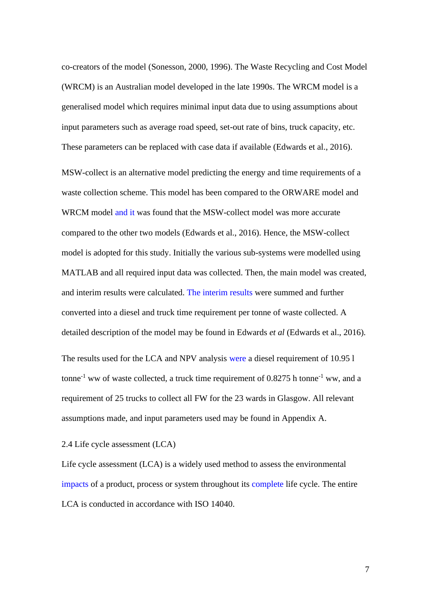co-creators of the model (Sonesson, 2000, 1996). The Waste Recycling and Cost Model (WRCM) is an Australian model developed in the late 1990s. The WRCM model is a generalised model which requires minimal input data due to using assumptions about input parameters such as average road speed, set-out rate of bins, truck capacity, etc. These parameters can be replaced with case data if available (Edwards et al., 2016).

MSW-collect is an alternative model predicting the energy and time requirements of a waste collection scheme. This model has been compared to the ORWARE model and WRCM model and it was found that the MSW-collect model was more accurate compared to the other two models (Edwards et al., 2016). Hence, the MSW-collect model is adopted for this study. Initially the various sub-systems were modelled using MATLAB and all required input data was collected. Then, the main model was created, and interim results were calculated. The interim results were summed and further converted into a diesel and truck time requirement per tonne of waste collected. A detailed description of the model may be found in Edwards *et al* (Edwards et al., 2016)*.* The results used for the LCA and NPV analysis were a diesel requirement of 10.95 l tonne<sup>-1</sup> ww of waste collected, a truck time requirement of  $0.8275$  h tonne<sup>-1</sup> ww, and a requirement of 25 trucks to collect all FW for the 23 wards in Glasgow. All relevant assumptions made, and input parameters used may be found in Appendix A.

## 2.4 Life cycle assessment (LCA)

Life cycle assessment (LCA) is a widely used method to assess the environmental impacts of a product, process or system throughout its complete life cycle. The entire LCA is conducted in accordance with ISO 14040.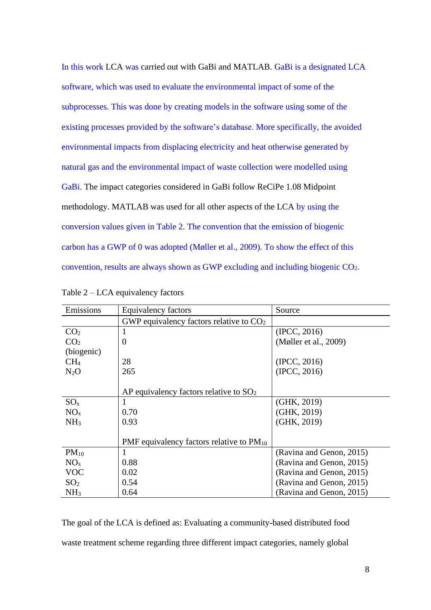In this work LCA was carried out with GaBi and MATLAB. GaBi is a designated LCA software, which was used to evaluate the environmental impact of some of the subprocesses. This was done by creating models in the software using some of the existing processes provided by the software's database. More specifically, the avoided environmental impacts from displacing electricity and heat otherwise generated by natural gas and the environmental impact of waste collection were modelled using GaBi. The impact categories considered in GaBi follow ReCiPe 1.08 Midpoint methodology. MATLAB was used for all other aspects of the LCA by using the conversion values given in Table 2. The convention that the emission of biogenic carbon has a GWP of 0 was adopted (Møller et al., 2009). To show the effect of this convention, results are always shown as GWP excluding and including biogenic CO2.

| Emissions       | Equivalency factors                           | Source                   |
|-----------------|-----------------------------------------------|--------------------------|
|                 | GWP equivalency factors relative to $CO2$     |                          |
| CO <sub>2</sub> | 1                                             | (IPCC, 2016)             |
| CO <sub>2</sub> | $\overline{0}$                                | (Møller et al., 2009)    |
| (biogenic)      |                                               |                          |
| CH <sub>4</sub> | 28                                            | (IPCC, 2016)             |
| $N_2O$          | 265                                           | (IPCC, 2016)             |
|                 |                                               |                          |
|                 | AP equivalency factors relative to $SO2$      |                          |
| $SO_{X}$        | $\mathbf{I}$                                  | (GHK, 2019)              |
| NO <sub>x</sub> | 0.70                                          | (GHK, 2019)              |
| NH <sub>3</sub> | 0.93                                          | (GHK, 2019)              |
|                 |                                               |                          |
|                 | PMF equivalency factors relative to $PM_{10}$ |                          |
| $PM_{10}$       | 1                                             | (Ravina and Genon, 2015) |
| $NO_{x}$        | 0.88                                          | (Ravina and Genon, 2015) |
| <b>VOC</b>      | 0.02                                          | (Ravina and Genon, 2015) |
| SO <sub>2</sub> | 0.54                                          | (Ravina and Genon, 2015) |
| NH <sub>3</sub> | 0.64                                          | (Ravina and Genon, 2015) |

| Table $2 - LCA$ equivalency factors |  |  |
|-------------------------------------|--|--|
|-------------------------------------|--|--|

The goal of the LCA is defined as: Evaluating a community-based distributed food waste treatment scheme regarding three different impact categories, namely global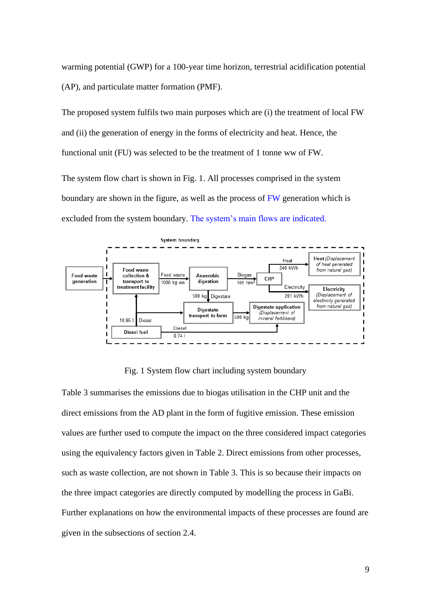warming potential (GWP) for a 100-year time horizon, terrestrial acidification potential (AP), and particulate matter formation (PMF).

The proposed system fulfils two main purposes which are (i) the treatment of local FW and (ii) the generation of energy in the forms of electricity and heat. Hence, the functional unit (FU) was selected to be the treatment of 1 tonne ww of FW.

The system flow chart is shown in Fig. 1. All processes comprised in the system boundary are shown in the figure, as well as the process of FW generation which is excluded from the system boundary. The system's main flows are indicated.



Fig. 1 System flow chart including system boundary

Table 3 summarises the emissions due to biogas utilisation in the CHP unit and the direct emissions from the AD plant in the form of fugitive emission. These emission values are further used to compute the impact on the three considered impact categories using the equivalency factors given in Table 2. Direct emissions from other processes, such as waste collection, are not shown in Table 3. This is so because their impacts on the three impact categories are directly computed by modelling the process in GaBi. Further explanations on how the environmental impacts of these processes are found are given in the subsections of section 2.4.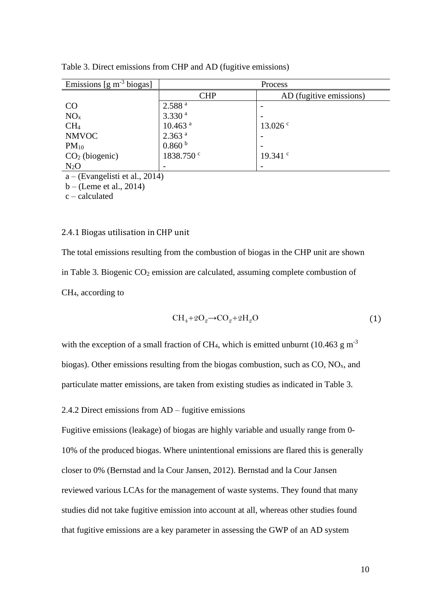| Emissions $[g m^{-3} \text{ biogas}]$ | Process               |                         |  |  |
|---------------------------------------|-----------------------|-------------------------|--|--|
|                                       | <b>CHP</b>            | AD (fugitive emissions) |  |  |
| CO                                    | 2.588 <sup>a</sup>    |                         |  |  |
| NO <sub>x</sub>                       | 3.330 <sup>a</sup>    |                         |  |  |
| CH <sub>4</sub>                       | $10.463$ <sup>a</sup> | $13.026$ c              |  |  |
| <b>NMVOC</b>                          | 2.363 <sup>a</sup>    |                         |  |  |
| $PM_{10}$                             | 0.860 <sup>b</sup>    |                         |  |  |
| CO <sub>2</sub> (biogenic)            | 1838.750 <sup>c</sup> | 19.341 $\degree$        |  |  |
| $N_2O$                                |                       |                         |  |  |
| $a -$ (Evangelisti et al., 2014)      |                       |                         |  |  |

Table 3. Direct emissions from CHP and AD (fugitive emissions)

a – (Evangelisti et al., 2014)

b – (Leme et al., 2014)

c – calculated

#### 2.4.1 Biogas utilisation in CHP unit

The total emissions resulting from the combustion of biogas in the CHP unit are shown in Table 3. Biogenic CO<sup>2</sup> emission are calculated, assuming complete combustion of CH4, according to

$$
CH4+2O2\rightarrow CO2+2H2O
$$
 (1)

with the exception of a small fraction of CH<sub>4</sub>, which is emitted unburnt (10.463 g m<sup>-3</sup> biogas). Other emissions resulting from the biogas combustion, such as  $CO$ ,  $NO<sub>x</sub>$ , and particulate matter emissions, are taken from existing studies as indicated in Table 3.

2.4.2 Direct emissions from AD – fugitive emissions

Fugitive emissions (leakage) of biogas are highly variable and usually range from 0- 10% of the produced biogas. Where unintentional emissions are flared this is generally closer to 0% (Bernstad and la Cour Jansen, 2012). Bernstad and la Cour Jansen reviewed various LCAs for the management of waste systems. They found that many studies did not take fugitive emission into account at all, whereas other studies found that fugitive emissions are a key parameter in assessing the GWP of an AD system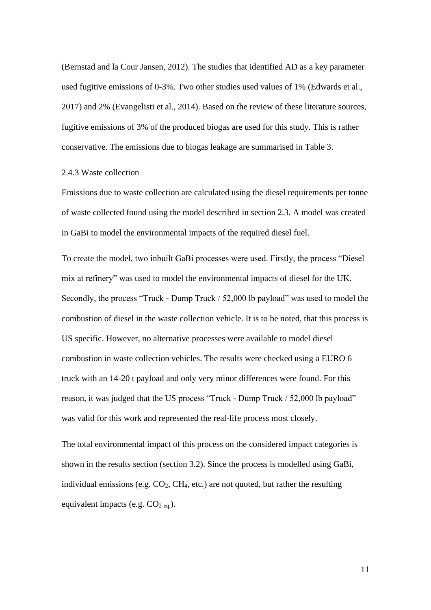(Bernstad and la Cour Jansen, 2012). The studies that identified AD as a key parameter used fugitive emissions of 0-3%. Two other studies used values of 1% (Edwards et al., 2017) and 2% (Evangelisti et al., 2014). Based on the review of these literature sources, fugitive emissions of 3% of the produced biogas are used for this study. This is rather conservative. The emissions due to biogas leakage are summarised in Table 3.

#### 2.4.3 Waste collection

Emissions due to waste collection are calculated using the diesel requirements per tonne of waste collected found using the model described in section 2.3. A model was created in GaBi to model the environmental impacts of the required diesel fuel.

To create the model, two inbuilt GaBi processes were used. Firstly, the process "Diesel mix at refinery" was used to model the environmental impacts of diesel for the UK. Secondly, the process "Truck - Dump Truck / 52,000 lb payload" was used to model the combustion of diesel in the waste collection vehicle. It is to be noted, that this process is US specific. However, no alternative processes were available to model diesel combustion in waste collection vehicles. The results were checked using a EURO 6 truck with an 14-20 t payload and only very minor differences were found. For this reason, it was judged that the US process "Truck - Dump Truck / 52,000 lb payload" was valid for this work and represented the real-life process most closely.

The total environmental impact of this process on the considered impact categories is shown in the results section (section 3.2). Since the process is modelled using GaBi, individual emissions (e.g.  $CO<sub>2</sub>$ ,  $CH<sub>4</sub>$ , etc.) are not quoted, but rather the resulting equivalent impacts (e.g.  $CO_{2-eq.}$ ).

11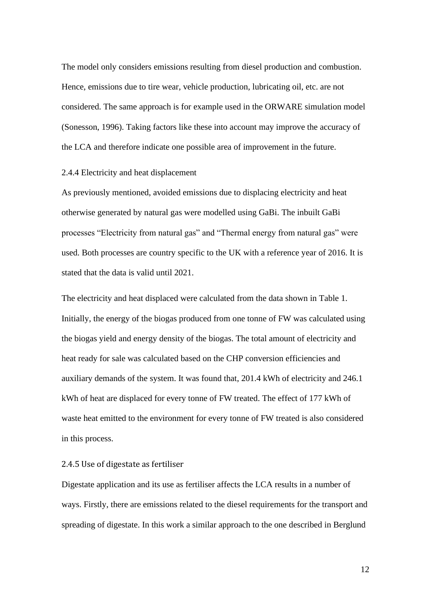The model only considers emissions resulting from diesel production and combustion. Hence, emissions due to tire wear, vehicle production, lubricating oil, etc. are not considered. The same approach is for example used in the ORWARE simulation model (Sonesson, 1996). Taking factors like these into account may improve the accuracy of the LCA and therefore indicate one possible area of improvement in the future.

#### 2.4.4 Electricity and heat displacement

As previously mentioned, avoided emissions due to displacing electricity and heat otherwise generated by natural gas were modelled using GaBi. The inbuilt GaBi processes "Electricity from natural gas" and "Thermal energy from natural gas" were used. Both processes are country specific to the UK with a reference year of 2016. It is stated that the data is valid until 2021.

The electricity and heat displaced were calculated from the data shown in Table 1. Initially, the energy of the biogas produced from one tonne of FW was calculated using the biogas yield and energy density of the biogas. The total amount of electricity and heat ready for sale was calculated based on the CHP conversion efficiencies and auxiliary demands of the system. It was found that, 201.4 kWh of electricity and 246.1 kWh of heat are displaced for every tonne of FW treated. The effect of 177 kWh of waste heat emitted to the environment for every tonne of FW treated is also considered in this process.

## 2.4.5 Use of digestate as fertiliser

Digestate application and its use as fertiliser affects the LCA results in a number of ways. Firstly, there are emissions related to the diesel requirements for the transport and spreading of digestate. In this work a similar approach to the one described in Berglund

12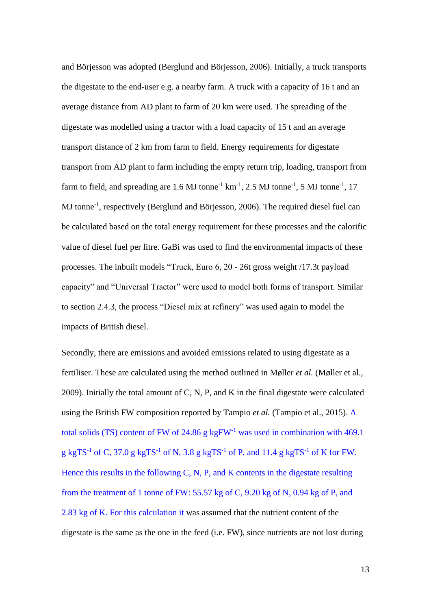and Börjesson was adopted (Berglund and Börjesson, 2006). Initially, a truck transports the digestate to the end-user e.g. a nearby farm. A truck with a capacity of 16 t and an average distance from AD plant to farm of 20 km were used. The spreading of the digestate was modelled using a tractor with a load capacity of 15 t and an average transport distance of 2 km from farm to field. Energy requirements for digestate transport from AD plant to farm including the empty return trip, loading, transport from farm to field, and spreading are 1.6 MJ tonne<sup>-1</sup> km<sup>-1</sup>, 2.5 MJ tonne<sup>-1</sup>, 5 MJ tonne<sup>-1</sup>, 17 MJ tonne<sup>-1</sup>, respectively (Berglund and Börjesson, 2006). The required diesel fuel can be calculated based on the total energy requirement for these processes and the calorific value of diesel fuel per litre. GaBi was used to find the environmental impacts of these processes. The inbuilt models "Truck, Euro 6, 20 - 26t gross weight /17.3t payload capacity" and "Universal Tractor" were used to model both forms of transport. Similar to section 2.4.3, the process "Diesel mix at refinery" was used again to model the impacts of British diesel.

Secondly, there are emissions and avoided emissions related to using digestate as a fertiliser. These are calculated using the method outlined in Møller *et al.* (Møller et al., 2009). Initially the total amount of C, N, P, and K in the final digestate were calculated using the British FW composition reported by Tampio *et al.* (Tampio et al., 2015). A total solids (TS) content of FW of 24.86 g kgFW-1 was used in combination with 469.1 g kgTS<sup>-1</sup> of C, 37.0 g kgTS<sup>-1</sup> of N, 3.8 g kgTS<sup>-1</sup> of P, and 11.4 g kgTS<sup>-1</sup> of K for FW. Hence this results in the following C, N, P, and K contents in the digestate resulting from the treatment of 1 tonne of FW: 55.57 kg of C, 9.20 kg of N, 0.94 kg of P, and 2.83 kg of K. For this calculation it was assumed that the nutrient content of the digestate is the same as the one in the feed (i.e. FW), since nutrients are not lost during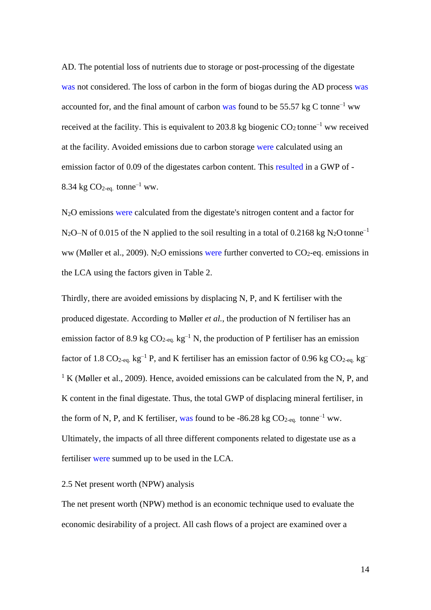AD. The potential loss of nutrients due to storage or post-processing of the digestate was not considered. The loss of carbon in the form of biogas during the AD process was accounted for, and the final amount of carbon was found to be 55.57 kg C tonne<sup>-1</sup> ww received at the facility. This is equivalent to 203.8 kg biogenic  $CO_2$  tonne<sup>-1</sup> ww received at the facility. Avoided emissions due to carbon storage were calculated using an emission factor of 0.09 of the digestates carbon content. This resulted in a GWP of - 8.34 kg  $CO<sub>2-eq</sub>$  tonne<sup>-1</sup> ww.

N2O emissions were calculated from the digestate's nitrogen content and a factor for N<sub>2</sub>O–N of 0.015 of the N applied to the soil resulting in a total of 0.2168 kg N<sub>2</sub>O tonne<sup>-1</sup> ww (Møller et al., 2009). N<sub>2</sub>O emissions were further converted to  $CO_2$ -eq. emissions in the LCA using the factors given in Table 2.

Thirdly, there are avoided emissions by displacing N, P, and K fertiliser with the produced digestate. According to Møller *et al.*, the production of N fertiliser has an emission factor of 8.9 kg  $CO_{2-\text{eq}}$ , kg<sup>-1</sup> N, the production of P fertiliser has an emission factor of 1.8 CO<sub>2-eq.</sub> kg<sup>-1</sup> P, and K fertiliser has an emission factor of 0.96 kg CO<sub>2-eq.</sub> kg<sup>-1</sup>  $1 K$  (Møller et al., 2009). Hence, avoided emissions can be calculated from the N, P, and K content in the final digestate. Thus, the total GWP of displacing mineral fertiliser, in the form of N, P, and K fertiliser, was found to be -86.28 kg  $CO_{2\text{-eq.}}$  tonne<sup>-1</sup> ww. Ultimately, the impacts of all three different components related to digestate use as a fertiliser were summed up to be used in the LCA.

#### 2.5 Net present worth (NPW) analysis

The net present worth (NPW) method is an economic technique used to evaluate the economic desirability of a project. All cash flows of a project are examined over a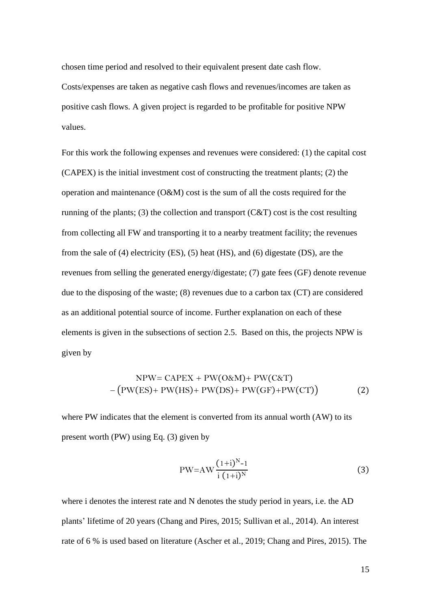chosen time period and resolved to their equivalent present date cash flow. Costs/expenses are taken as negative cash flows and revenues/incomes are taken as positive cash flows. A given project is regarded to be profitable for positive NPW values.

For this work the following expenses and revenues were considered: (1) the capital cost (CAPEX) is the initial investment cost of constructing the treatment plants; (2) the operation and maintenance (O&M) cost is the sum of all the costs required for the running of the plants; (3) the collection and transport  $(C&T)$  cost is the cost resulting from collecting all FW and transporting it to a nearby treatment facility; the revenues from the sale of (4) electricity (ES), (5) heat (HS), and (6) digestate (DS), are the revenues from selling the generated energy/digestate; (7) gate fees (GF) denote revenue due to the disposing of the waste; (8) revenues due to a carbon tax (CT) are considered as an additional potential source of income. Further explanation on each of these elements is given in the subsections of section 2.5. Based on this, the projects NPW is given by

$$
NPW = CAPEX + PW(O\&M) + PW(C\&T)
$$
  
-(PW(ES)+ PW(HS)+ PW(DS)+PW(GF)+PW(CT)) (2)

where PW indicates that the element is converted from its annual worth (AW) to its present worth (PW) using Eq. (3) given by

$$
PW = AW \frac{(1+i)^{N} - 1}{i (1+i)^{N}}
$$
 (3)

where i denotes the interest rate and N denotes the study period in years, i.e. the AD plants' lifetime of 20 years (Chang and Pires, 2015; Sullivan et al., 2014). An interest rate of 6 % is used based on literature (Ascher et al., 2019; Chang and Pires, 2015). The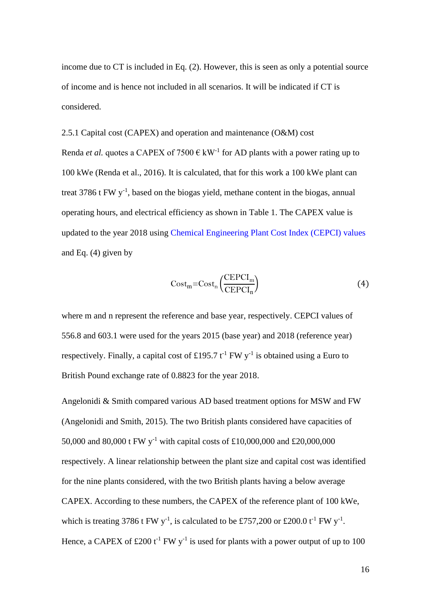income due to CT is included in Eq. (2). However, this is seen as only a potential source of income and is hence not included in all scenarios. It will be indicated if CT is considered.

2.5.1 Capital cost (CAPEX) and operation and maintenance (O&M) cost Renda *et al.* quotes a CAPEX of 7500  $\epsilon$  kW<sup>-1</sup> for AD plants with a power rating up to 100 kWe (Renda et al., 2016). It is calculated, that for this work a 100 kWe plant can treat  $3786$  t FW  $y^{-1}$ , based on the biogas yield, methane content in the biogas, annual operating hours, and electrical efficiency as shown in Table 1. The CAPEX value is updated to the year 2018 using Chemical Engineering Plant Cost Index (CEPCI) values and Eq. (4) given by

$$
Cost_m = Cost_n \left( \frac{CEPCI_m}{CEPCI_n} \right)
$$
 (4)

where m and n represent the reference and base year, respectively. CEPCI values of 556.8 and 603.1 were used for the years 2015 (base year) and 2018 (reference year) respectively. Finally, a capital cost of £195.7  $t^{-1}$  FW y<sup>-1</sup> is obtained using a Euro to British Pound exchange rate of 0.8823 for the year 2018.

Angelonidi & Smith compared various AD based treatment options for MSW and FW (Angelonidi and Smith, 2015). The two British plants considered have capacities of 50,000 and 80,000 t FW y<sup>-1</sup> with capital costs of £10,000,000 and £20,000,000 respectively. A linear relationship between the plant size and capital cost was identified for the nine plants considered, with the two British plants having a below average CAPEX. According to these numbers, the CAPEX of the reference plant of 100 kWe, which is treating 3786 t FW y<sup>-1</sup>, is calculated to be £757,200 or £200.0 t<sup>-1</sup> FW y<sup>-1</sup>. Hence, a CAPEX of £200 t<sup>-1</sup> FW y<sup>-1</sup> is used for plants with a power output of up to 100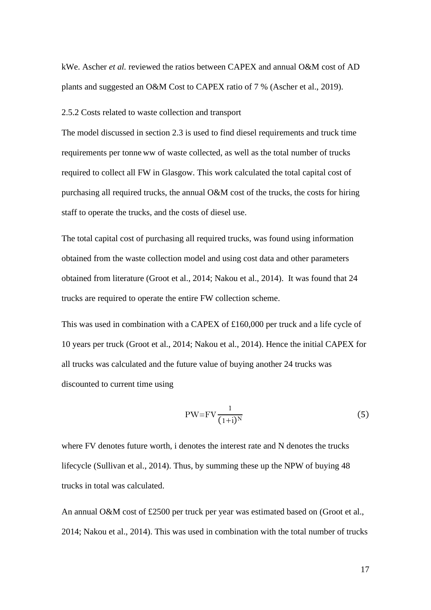kWe. Ascher *et al.* reviewed the ratios between CAPEX and annual O&M cost of AD plants and suggested an O&M Cost to CAPEX ratio of 7 % (Ascher et al., 2019).

2.5.2 Costs related to waste collection and transport

The model discussed in section 2.3 is used to find diesel requirements and truck time requirements per tonne ww of waste collected, as well as the total number of trucks required to collect all FW in Glasgow. This work calculated the total capital cost of purchasing all required trucks, the annual O&M cost of the trucks, the costs for hiring staff to operate the trucks, and the costs of diesel use.

The total capital cost of purchasing all required trucks, was found using information obtained from the waste collection model and using cost data and other parameters obtained from literature (Groot et al., 2014; Nakou et al., 2014). It was found that 24 trucks are required to operate the entire FW collection scheme.

This was used in combination with a CAPEX of £160,000 per truck and a life cycle of 10 years per truck (Groot et al., 2014; Nakou et al., 2014). Hence the initial CAPEX for all trucks was calculated and the future value of buying another 24 trucks was discounted to current time using

$$
PW = FV \frac{1}{(1+i)^N}
$$
 (5)

where FV denotes future worth, i denotes the interest rate and N denotes the trucks lifecycle (Sullivan et al., 2014). Thus, by summing these up the NPW of buying 48 trucks in total was calculated.

An annual O&M cost of £2500 per truck per year was estimated based on (Groot et al., 2014; Nakou et al., 2014). This was used in combination with the total number of trucks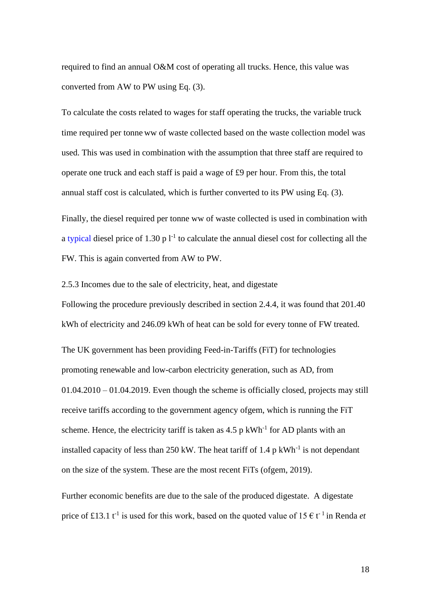required to find an annual O&M cost of operating all trucks. Hence, this value was converted from AW to PW using Eq. (3).

To calculate the costs related to wages for staff operating the trucks, the variable truck time required per tonne ww of waste collected based on the waste collection model was used. This was used in combination with the assumption that three staff are required to operate one truck and each staff is paid a wage of £9 per hour. From this, the total annual staff cost is calculated, which is further converted to its PW using Eq. (3).

Finally, the diesel required per tonne ww of waste collected is used in combination with a typical diesel price of 1.30 p  $l^{-1}$  to calculate the annual diesel cost for collecting all the FW. This is again converted from AW to PW.

2.5.3 Incomes due to the sale of electricity, heat, and digestate Following the procedure previously described in section 2.4.4, it was found that 201.40 kWh of electricity and 246.09 kWh of heat can be sold for every tonne of FW treated.

The UK government has been providing Feed-in-Tariffs (FiT) for technologies promoting renewable and low-carbon electricity generation, such as AD, from 01.04.2010 – 01.04.2019. Even though the scheme is officially closed, projects may still receive tariffs according to the government agency ofgem, which is running the FiT scheme. Hence, the electricity tariff is taken as  $4.5$  p kWh<sup>-1</sup> for AD plants with an installed capacity of less than  $250 \text{ kW}$ . The heat tariff of 1.4 p kWh<sup>-1</sup> is not dependant on the size of the system. These are the most recent FiTs (ofgem, 2019).

Further economic benefits are due to the sale of the produced digestate. A digestate price of £13.1  $t^{-1}$  is used for this work, based on the quoted value of 15  $\epsilon t^{-1}$  in Renda *et*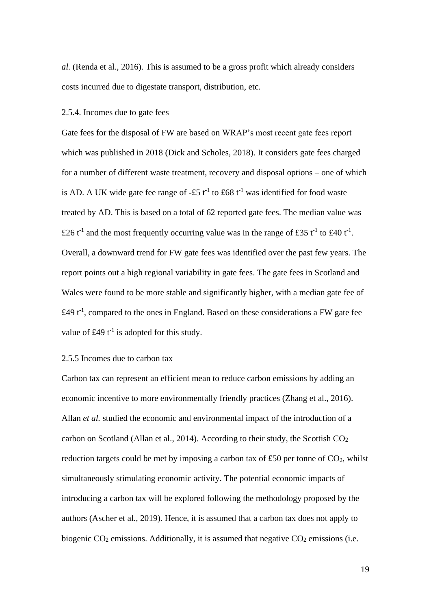*al.* (Renda et al., 2016). This is assumed to be a gross profit which already considers costs incurred due to digestate transport, distribution, etc.

#### 2.5.4. Incomes due to gate fees

Gate fees for the disposal of FW are based on WRAP's most recent gate fees report which was published in 2018 (Dick and Scholes, 2018). It considers gate fees charged for a number of different waste treatment, recovery and disposal options – one of which is AD. A UK wide gate fee range of  $-55$  t<sup>-1</sup> to £68 t<sup>-1</sup> was identified for food waste treated by AD. This is based on a total of 62 reported gate fees. The median value was £26 t<sup>-1</sup> and the most frequently occurring value was in the range of £35 t<sup>-1</sup> to £40 t<sup>-1</sup>. Overall, a downward trend for FW gate fees was identified over the past few years. The report points out a high regional variability in gate fees. The gate fees in Scotland and Wales were found to be more stable and significantly higher, with a median gate fee of £49  $t^{-1}$ , compared to the ones in England. Based on these considerations a FW gate fee value of £49  $t^{-1}$  is adopted for this study.

#### 2.5.5 Incomes due to carbon tax

Carbon tax can represent an efficient mean to reduce carbon emissions by adding an economic incentive to more environmentally friendly practices (Zhang et al., 2016). Allan *et al.* studied the economic and environmental impact of the introduction of a carbon on Scotland (Allan et al., 2014). According to their study, the Scottish  $CO<sub>2</sub>$ reduction targets could be met by imposing a carbon tax of £50 per tonne of  $CO<sub>2</sub>$ , whilst simultaneously stimulating economic activity. The potential economic impacts of introducing a carbon tax will be explored following the methodology proposed by the authors (Ascher et al., 2019). Hence, it is assumed that a carbon tax does not apply to biogenic  $CO<sub>2</sub>$  emissions. Additionally, it is assumed that negative  $CO<sub>2</sub>$  emissions (i.e.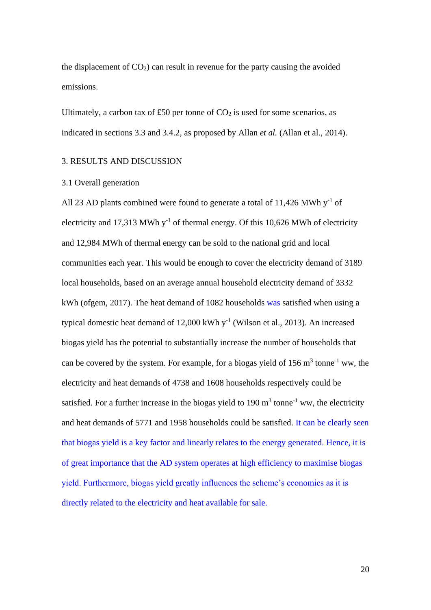the displacement of  $CO<sub>2</sub>$ ) can result in revenue for the party causing the avoided emissions.

Ultimately, a carbon tax of £50 per tonne of  $CO<sub>2</sub>$  is used for some scenarios, as indicated in sections 3.3 and 3.4.2, as proposed by Allan *et al.* (Allan et al., 2014).

#### 3. RESULTS AND DISCUSSION

#### 3.1 Overall generation

All 23 AD plants combined were found to generate a total of 11,426 MWh  $y^{-1}$  of electricity and 17,313 MWh  $y^{-1}$  of thermal energy. Of this 10,626 MWh of electricity and 12,984 MWh of thermal energy can be sold to the national grid and local communities each year. This would be enough to cover the electricity demand of 3189 local households, based on an average annual household electricity demand of 3332 kWh (ofgem, 2017). The heat demand of 1082 households was satisfied when using a typical domestic heat demand of  $12,000$  kWh y<sup>-1</sup> (Wilson et al., 2013). An increased biogas yield has the potential to substantially increase the number of households that can be covered by the system. For example, for a biogas yield of  $156 \text{ m}^3$  tonne<sup>-1</sup> ww, the electricity and heat demands of 4738 and 1608 households respectively could be satisfied. For a further increase in the biogas yield to 190  $m<sup>3</sup>$  tonne<sup>-1</sup> ww, the electricity and heat demands of 5771 and 1958 households could be satisfied. It can be clearly seen that biogas yield is a key factor and linearly relates to the energy generated. Hence, it is of great importance that the AD system operates at high efficiency to maximise biogas yield. Furthermore, biogas yield greatly influences the scheme's economics as it is directly related to the electricity and heat available for sale.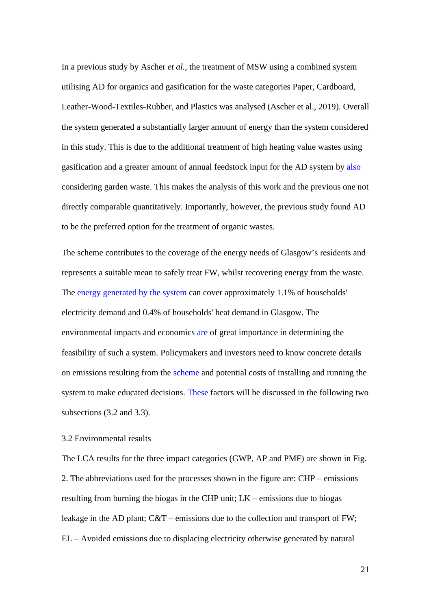In a previous study by Ascher *et al.*, the treatment of MSW using a combined system utilising AD for organics and gasification for the waste categories Paper, Cardboard, Leather-Wood-Textiles-Rubber, and Plastics was analysed (Ascher et al., 2019). Overall the system generated a substantially larger amount of energy than the system considered in this study. This is due to the additional treatment of high heating value wastes using gasification and a greater amount of annual feedstock input for the AD system by also considering garden waste. This makes the analysis of this work and the previous one not directly comparable quantitatively. Importantly, however, the previous study found AD to be the preferred option for the treatment of organic wastes.

The scheme contributes to the coverage of the energy needs of Glasgow's residents and represents a suitable mean to safely treat FW, whilst recovering energy from the waste. The energy generated by the system can cover approximately 1.1% of households' electricity demand and 0.4% of households' heat demand in Glasgow. The environmental impacts and economics are of great importance in determining the feasibility of such a system. Policymakers and investors need to know concrete details on emissions resulting from the scheme and potential costs of installing and running the system to make educated decisions. These factors will be discussed in the following two subsections (3.2 and 3.3).

#### 3.2 Environmental results

The LCA results for the three impact categories (GWP, AP and PMF) are shown in Fig. 2. The abbreviations used for the processes shown in the figure are: CHP – emissions resulting from burning the biogas in the CHP unit; LK – emissions due to biogas leakage in the AD plant; C&T – emissions due to the collection and transport of FW; EL – Avoided emissions due to displacing electricity otherwise generated by natural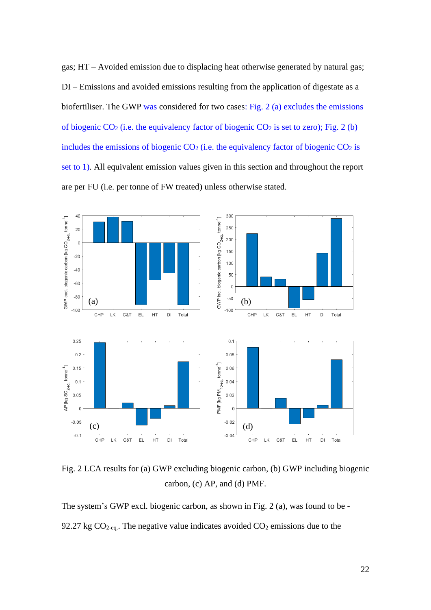gas; HT – Avoided emission due to displacing heat otherwise generated by natural gas; DI – Emissions and avoided emissions resulting from the application of digestate as a biofertiliser. The GWP was considered for two cases: Fig. 2 (a) excludes the emissions of biogenic  $CO_2$  (i.e. the equivalency factor of biogenic  $CO_2$  is set to zero); Fig. 2 (b) includes the emissions of biogenic  $CO<sub>2</sub>$  (i.e. the equivalency factor of biogenic  $CO<sub>2</sub>$  is set to 1). All equivalent emission values given in this section and throughout the report are per FU (i.e. per tonne of FW treated) unless otherwise stated.



Fig. 2 LCA results for (a) GWP excluding biogenic carbon, (b) GWP including biogenic carbon, (c) AP, and (d) PMF.

The system's GWP excl. biogenic carbon, as shown in Fig. 2 (a), was found to be - 92.27 kg  $CO<sub>2</sub>$ -eq.. The negative value indicates avoided  $CO<sub>2</sub>$  emissions due to the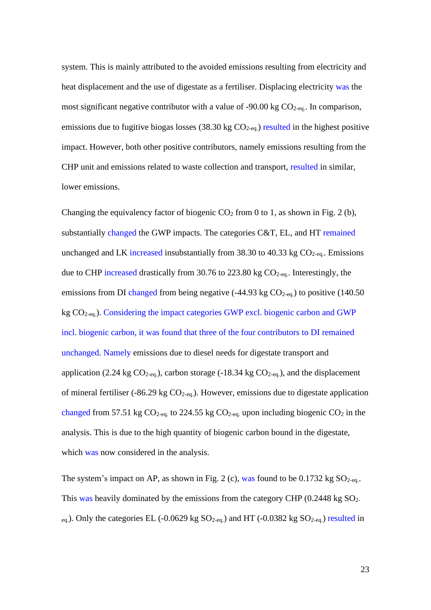system. This is mainly attributed to the avoided emissions resulting from electricity and heat displacement and the use of digestate as a fertiliser. Displacing electricity was the most significant negative contributor with a value of -90.00 kg  $CO<sub>2-eq</sub>$ . In comparison, emissions due to fugitive biogas losses  $(38.30 \text{ kg CO}_{2\text{-eq}})$  resulted in the highest positive impact. However, both other positive contributors, namely emissions resulting from the CHP unit and emissions related to waste collection and transport, resulted in similar, lower emissions.

Changing the equivalency factor of biogenic  $CO_2$  from 0 to 1, as shown in Fig. 2 (b), substantially changed the GWP impacts. The categories C&T, EL, and HT remained unchanged and LK increased insubstantially from 38.30 to 40.33 kg  $CO<sub>2-eq</sub>$ . Emissions due to CHP increased drastically from 30.76 to 223.80 kg CO<sub>2-eq.</sub>. Interestingly, the emissions from DI changed from being negative  $(-44.93 \text{ kg CO}_{2\text{-eq.}})$  to positive  $(140.50 \text{ m})$ kg CO2-eq.). Considering the impact categories GWP excl. biogenic carbon and GWP incl. biogenic carbon, it was found that three of the four contributors to DI remained unchanged. Namely emissions due to diesel needs for digestate transport and application (2.24 kg  $CO_{2-eq.}$ ), carbon storage (-18.34 kg  $CO_{2-eq.}$ ), and the displacement of mineral fertiliser (-86.29 kg  $CO_{2-\text{eq}}$ ). However, emissions due to digestate application changed from 57.51 kg  $CO_{2-eq}$  to 224.55 kg  $CO_{2-eq}$  upon including biogenic  $CO_2$  in the analysis. This is due to the high quantity of biogenic carbon bound in the digestate, which was now considered in the analysis.

The system's impact on AP, as shown in Fig. 2 (c), was found to be  $0.1732$  kg  $SO_{2-\text{eq}}$ . This was heavily dominated by the emissions from the category CHP (0.2448 kg SO<sub>2</sub>- $_{eq.}$ ). Only the categories EL (-0.0629 kg SO<sub>2-eq.</sub>) and HT (-0.0382 kg SO<sub>2-eq.</sub>) resulted in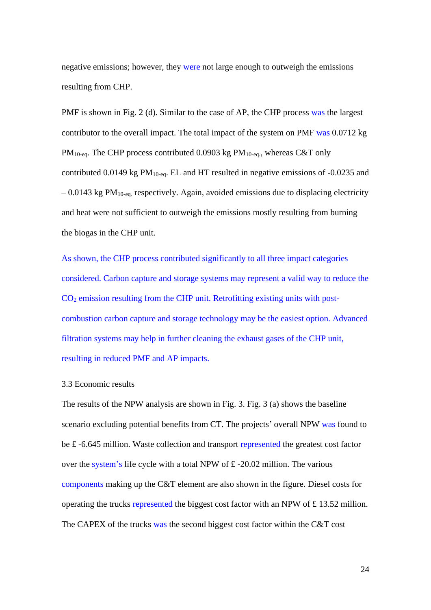negative emissions; however, they were not large enough to outweigh the emissions resulting from CHP.

PMF is shown in Fig. 2 (d). Similar to the case of AP, the CHP process was the largest contributor to the overall impact. The total impact of the system on PMF was 0.0712 kg  $PM_{10-eq}$ . The CHP process contributed 0.0903 kg  $PM_{10-eq}$ , whereas C&T only contributed 0.0149 kg  $PM_{10-eq}$ . EL and HT resulted in negative emissions of -0.0235 and  $-0.0143$  kg PM<sub>10-eq.</sub> respectively. Again, avoided emissions due to displacing electricity and heat were not sufficient to outweigh the emissions mostly resulting from burning the biogas in the CHP unit.

As shown, the CHP process contributed significantly to all three impact categories considered. Carbon capture and storage systems may represent a valid way to reduce the  $CO<sub>2</sub>$  emission resulting from the CHP unit. Retrofitting existing units with postcombustion carbon capture and storage technology may be the easiest option. Advanced filtration systems may help in further cleaning the exhaust gases of the CHP unit, resulting in reduced PMF and AP impacts.

## 3.3 Economic results

The results of the NPW analysis are shown in Fig. 3. Fig. 3 (a) shows the baseline scenario excluding potential benefits from CT. The projects' overall NPW was found to be £ -6.645 million. Waste collection and transport represented the greatest cost factor over the system's life cycle with a total NPW of £ -20.02 million. The various components making up the C&T element are also shown in the figure. Diesel costs for operating the trucks represented the biggest cost factor with an NPW of £ 13.52 million. The CAPEX of the trucks was the second biggest cost factor within the C&T cost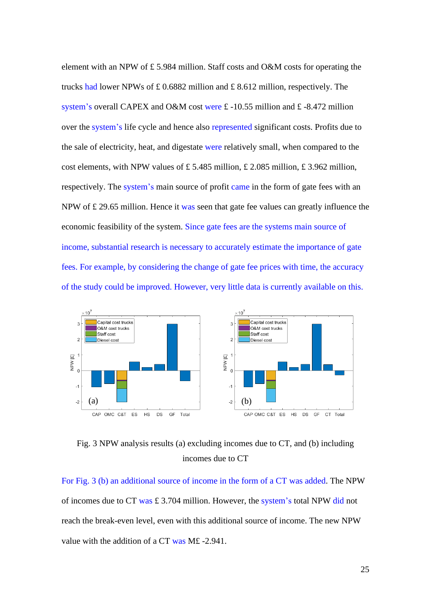element with an NPW of £ 5.984 million. Staff costs and O&M costs for operating the trucks had lower NPWs of £ 0.6882 million and £ 8.612 million, respectively. The system's overall CAPEX and O&M cost were £ -10.55 million and £ -8.472 million over the system's life cycle and hence also represented significant costs. Profits due to the sale of electricity, heat, and digestate were relatively small, when compared to the cost elements, with NPW values of £5.485 million, £ 2.085 million, £ 3.962 million, respectively. The system's main source of profit came in the form of gate fees with an NPW of £ 29.65 million. Hence it was seen that gate fee values can greatly influence the economic feasibility of the system. Since gate fees are the systems main source of income, substantial research is necessary to accurately estimate the importance of gate fees. For example, by considering the change of gate fee prices with time, the accuracy of the study could be improved. However, very little data is currently available on this.



Fig. 3 NPW analysis results (a) excluding incomes due to CT, and (b) including incomes due to CT

For Fig. 3 (b) an additional source of income in the form of a CT was added. The NPW of incomes due to CT was £ 3.704 million. However, the system's total NPW did not reach the break-even level, even with this additional source of income. The new NPW value with the addition of a CT was M£ -2.941.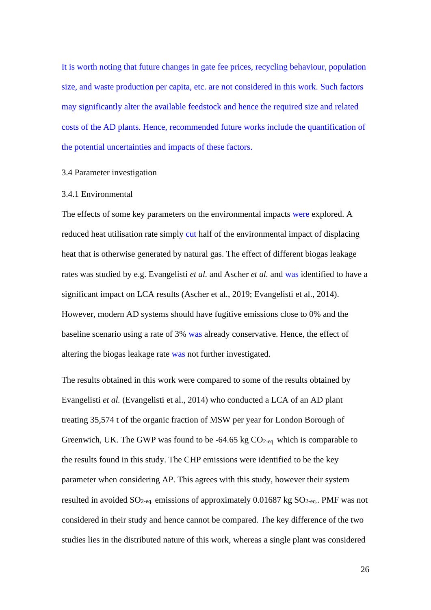It is worth noting that future changes in gate fee prices, recycling behaviour, population size, and waste production per capita, etc. are not considered in this work. Such factors may significantly alter the available feedstock and hence the required size and related costs of the AD plants. Hence, recommended future works include the quantification of the potential uncertainties and impacts of these factors.

#### 3.4 Parameter investigation

#### 3.4.1 Environmental

The effects of some key parameters on the environmental impacts were explored. A reduced heat utilisation rate simply cut half of the environmental impact of displacing heat that is otherwise generated by natural gas. The effect of different biogas leakage rates was studied by e.g. Evangelisti *et al.* and Ascher *et al.* and was identified to have a significant impact on LCA results (Ascher et al., 2019; Evangelisti et al., 2014). However, modern AD systems should have fugitive emissions close to 0% and the baseline scenario using a rate of 3% was already conservative. Hence, the effect of altering the biogas leakage rate was not further investigated.

The results obtained in this work were compared to some of the results obtained by Evangelisti *et al.* (Evangelisti et al., 2014) who conducted a LCA of an AD plant treating 35,574 t of the organic fraction of MSW per year for London Borough of Greenwich, UK. The GWP was found to be -64.65 kg  $CO<sub>2-ea</sub>$ , which is comparable to the results found in this study. The CHP emissions were identified to be the key parameter when considering AP. This agrees with this study, however their system resulted in avoided  $SO_{2-eq}$  emissions of approximately 0.01687 kg  $SO_{2-eq}$ . PMF was not considered in their study and hence cannot be compared. The key difference of the two studies lies in the distributed nature of this work, whereas a single plant was considered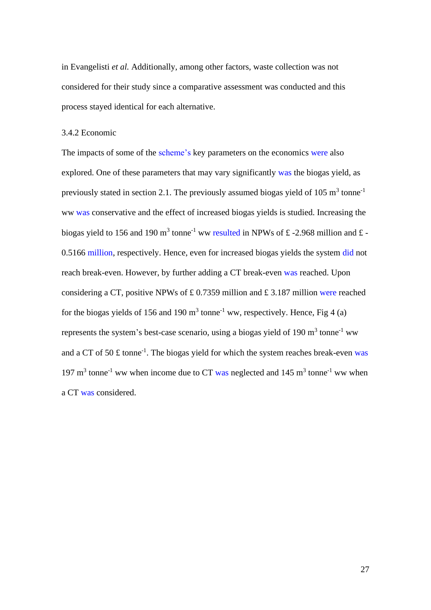in Evangelisti *et al.* Additionally, among other factors, waste collection was not considered for their study since a comparative assessment was conducted and this process stayed identical for each alternative.

## 3.4.2 Economic

The impacts of some of the scheme's key parameters on the economics were also explored. One of these parameters that may vary significantly was the biogas yield, as previously stated in section 2.1. The previously assumed biogas yield of 105  $m<sup>3</sup>$  tonne<sup>-1</sup> ww was conservative and the effect of increased biogas yields is studied. Increasing the biogas yield to 156 and 190 m<sup>3</sup> tonne<sup>-1</sup> ww resulted in NPWs of £-2.968 million and £-0.5166 million, respectively. Hence, even for increased biogas yields the system did not reach break-even. However, by further adding a CT break-even was reached. Upon considering a CT, positive NPWs of £ 0.7359 million and £ 3.187 million were reached for the biogas yields of 156 and 190  $m<sup>3</sup>$  tonne<sup>-1</sup> ww, respectively. Hence, Fig 4 (a) represents the system's best-case scenario, using a biogas yield of 190  $m<sup>3</sup>$  tonne<sup>-1</sup> ww and a CT of 50  $\pounds$  tonne<sup>-1</sup>. The biogas yield for which the system reaches break-even was 197  $\text{m}^3$  tonne<sup>-1</sup> ww when income due to CT was neglected and 145  $\text{m}^3$  tonne<sup>-1</sup> ww when a CT was considered.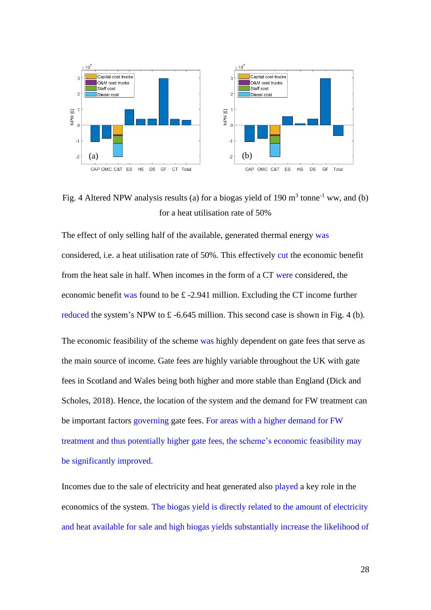

Fig. 4 Altered NPW analysis results (a) for a biogas yield of 190  $m<sup>3</sup>$  tonne<sup>-1</sup> ww, and (b) for a heat utilisation rate of 50%

The effect of only selling half of the available, generated thermal energy was considered, i.e. a heat utilisation rate of 50%. This effectively cut the economic benefit from the heat sale in half. When incomes in the form of a CT were considered, the economic benefit was found to be £ -2.941 million. Excluding the CT income further reduced the system's NPW to £ -6.645 million. This second case is shown in Fig. 4 (b).

The economic feasibility of the scheme was highly dependent on gate fees that serve as the main source of income. Gate fees are highly variable throughout the UK with gate fees in Scotland and Wales being both higher and more stable than England (Dick and Scholes, 2018). Hence, the location of the system and the demand for FW treatment can be important factors governing gate fees. For areas with a higher demand for FW treatment and thus potentially higher gate fees, the scheme's economic feasibility may be significantly improved.

Incomes due to the sale of electricity and heat generated also played a key role in the economics of the system. The biogas yield is directly related to the amount of electricity and heat available for sale and high biogas yields substantially increase the likelihood of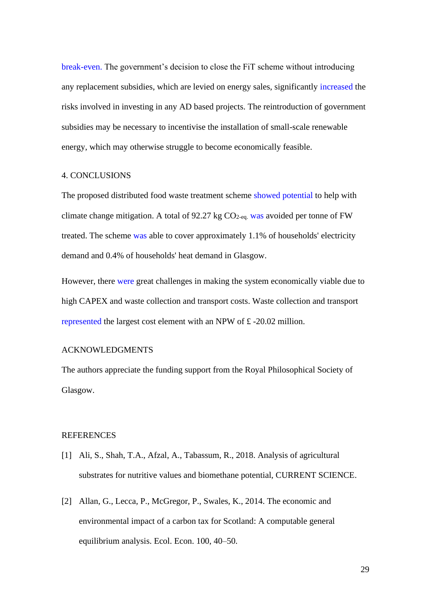break-even. The government's decision to close the FiT scheme without introducing any replacement subsidies, which are levied on energy sales, significantly increased the risks involved in investing in any AD based projects. The reintroduction of government subsidies may be necessary to incentivise the installation of small-scale renewable energy, which may otherwise struggle to become economically feasible.

#### 4. CONCLUSIONS

The proposed distributed food waste treatment scheme showed potential to help with climate change mitigation. A total of 92.27 kg  $CO<sub>2-eq</sub>$  was avoided per tonne of FW treated. The scheme was able to cover approximately 1.1% of households' electricity demand and 0.4% of households' heat demand in Glasgow.

However, there were great challenges in making the system economically viable due to high CAPEX and waste collection and transport costs. Waste collection and transport represented the largest cost element with an NPW of £ -20.02 million.

#### ACKNOWLEDGMENTS

The authors appreciate the funding support from the Royal Philosophical Society of Glasgow.

#### REFERENCES

- [1] Ali, S., Shah, T.A., Afzal, A., Tabassum, R., 2018. Analysis of agricultural substrates for nutritive values and biomethane potential, CURRENT SCIENCE.
- [2] Allan, G., Lecca, P., McGregor, P., Swales, K., 2014. The economic and environmental impact of a carbon tax for Scotland: A computable general equilibrium analysis. Ecol. Econ. 100, 40–50.

29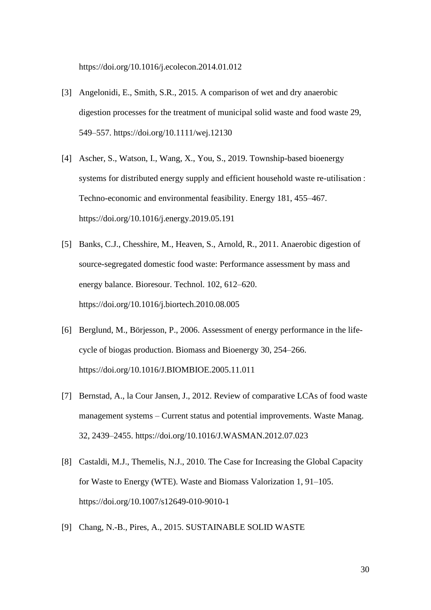https://doi.org/10.1016/j.ecolecon.2014.01.012

- [3] Angelonidi, E., Smith, S.R., 2015. A comparison of wet and dry anaerobic digestion processes for the treatment of municipal solid waste and food waste 29, 549–557. https://doi.org/10.1111/wej.12130
- [4] Ascher, S., Watson, I., Wang, X., You, S., 2019. Township-based bioenergy systems for distributed energy supply and efficient household waste re-utilisation : Techno-economic and environmental feasibility. Energy 181, 455–467. https://doi.org/10.1016/j.energy.2019.05.191
- [5] Banks, C.J., Chesshire, M., Heaven, S., Arnold, R., 2011. Anaerobic digestion of source-segregated domestic food waste: Performance assessment by mass and energy balance. Bioresour. Technol. 102, 612–620. https://doi.org/10.1016/j.biortech.2010.08.005
- [6] Berglund, M., Börjesson, P., 2006. Assessment of energy performance in the lifecycle of biogas production. Biomass and Bioenergy 30, 254–266. https://doi.org/10.1016/J.BIOMBIOE.2005.11.011
- [7] Bernstad, A., la Cour Jansen, J., 2012. Review of comparative LCAs of food waste management systems – Current status and potential improvements. Waste Manag. 32, 2439–2455. https://doi.org/10.1016/J.WASMAN.2012.07.023
- [8] Castaldi, M.J., Themelis, N.J., 2010. The Case for Increasing the Global Capacity for Waste to Energy (WTE). Waste and Biomass Valorization 1, 91–105. https://doi.org/10.1007/s12649-010-9010-1
- [9] Chang, N.-B., Pires, A., 2015. SUSTAINABLE SOLID WASTE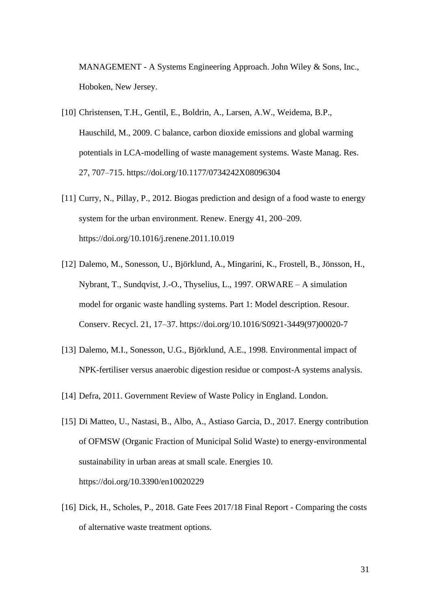MANAGEMENT - A Systems Engineering Approach. John Wiley & Sons, Inc., Hoboken, New Jersey.

- [10] Christensen, T.H., Gentil, E., Boldrin, A., Larsen, A.W., Weidema, B.P., Hauschild, M., 2009. C balance, carbon dioxide emissions and global warming potentials in LCA-modelling of waste management systems. Waste Manag. Res. 27, 707–715. https://doi.org/10.1177/0734242X08096304
- [11] Curry, N., Pillay, P., 2012. Biogas prediction and design of a food waste to energy system for the urban environment. Renew. Energy 41, 200–209. https://doi.org/10.1016/j.renene.2011.10.019
- [12] Dalemo, M., Sonesson, U., Björklund, A., Mingarini, K., Frostell, B., Jönsson, H., Nybrant, T., Sundqvist, J.-O., Thyselius, L., 1997. ORWARE – A simulation model for organic waste handling systems. Part 1: Model description. Resour. Conserv. Recycl. 21, 17–37. https://doi.org/10.1016/S0921-3449(97)00020-7
- [13] Dalemo, M.I., Sonesson, U.G., Björklund, A.E., 1998. Environmental impact of NPK-fertiliser versus anaerobic digestion residue or compost-A systems analysis.
- [14] Defra, 2011. Government Review of Waste Policy in England. London.
- [15] Di Matteo, U., Nastasi, B., Albo, A., Astiaso Garcia, D., 2017. Energy contribution of OFMSW (Organic Fraction of Municipal Solid Waste) to energy-environmental sustainability in urban areas at small scale. Energies 10. https://doi.org/10.3390/en10020229
- [16] Dick, H., Scholes, P., 2018. Gate Fees 2017/18 Final Report Comparing the costs of alternative waste treatment options.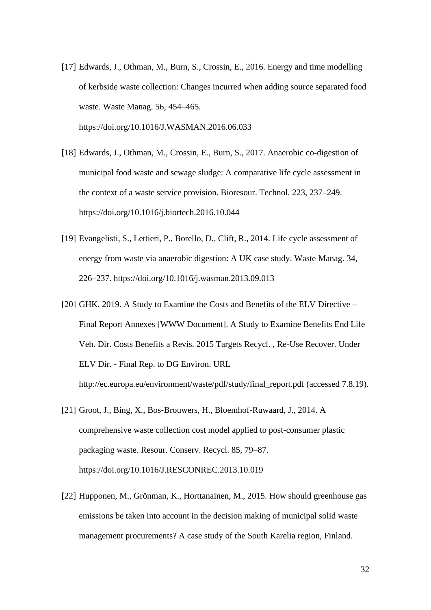- [17] Edwards, J., Othman, M., Burn, S., Crossin, E., 2016. Energy and time modelling of kerbside waste collection: Changes incurred when adding source separated food waste. Waste Manag. 56, 454–465. https://doi.org/10.1016/J.WASMAN.2016.06.033
- [18] Edwards, J., Othman, M., Crossin, E., Burn, S., 2017. Anaerobic co-digestion of municipal food waste and sewage sludge: A comparative life cycle assessment in the context of a waste service provision. Bioresour. Technol. 223, 237–249. https://doi.org/10.1016/j.biortech.2016.10.044
- [19] Evangelisti, S., Lettieri, P., Borello, D., Clift, R., 2014. Life cycle assessment of energy from waste via anaerobic digestion: A UK case study. Waste Manag. 34, 226–237. https://doi.org/10.1016/j.wasman.2013.09.013
- [20] GHK, 2019. A Study to Examine the Costs and Benefits of the ELV Directive Final Report Annexes [WWW Document]. A Study to Examine Benefits End Life Veh. Dir. Costs Benefits a Revis. 2015 Targets Recycl. , Re-Use Recover. Under ELV Dir. - Final Rep. to DG Environ. URL http://ec.europa.eu/environment/waste/pdf/study/final\_report.pdf (accessed 7.8.19).
- [21] Groot, J., Bing, X., Bos-Brouwers, H., Bloemhof-Ruwaard, J., 2014. A comprehensive waste collection cost model applied to post-consumer plastic packaging waste. Resour. Conserv. Recycl. 85, 79–87. https://doi.org/10.1016/J.RESCONREC.2013.10.019
- [22] Hupponen, M., Grönman, K., Horttanainen, M., 2015. How should greenhouse gas emissions be taken into account in the decision making of municipal solid waste management procurements? A case study of the South Karelia region, Finland.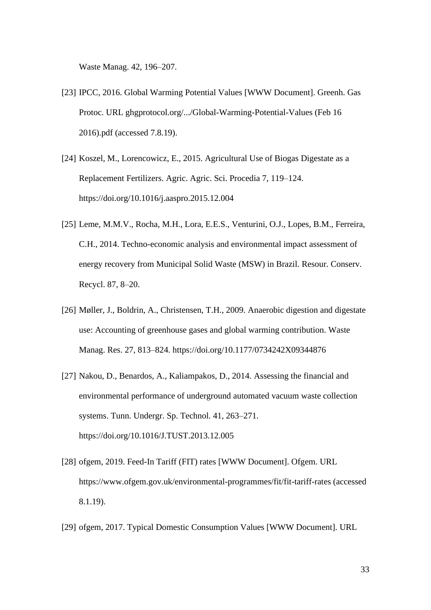Waste Manag. 42, 196–207.

- [23] IPCC, 2016. Global Warming Potential Values [WWW Document]. Greenh. Gas Protoc. URL ghgprotocol.org/.../Global-Warming-Potential-Values (Feb 16 2016).pdf (accessed 7.8.19).
- [24] Koszel, M., Lorencowicz, E., 2015. Agricultural Use of Biogas Digestate as a Replacement Fertilizers. Agric. Agric. Sci. Procedia 7, 119–124. https://doi.org/10.1016/j.aaspro.2015.12.004
- [25] Leme, M.M.V., Rocha, M.H., Lora, E.E.S., Venturini, O.J., Lopes, B.M., Ferreira, C.H., 2014. Techno-economic analysis and environmental impact assessment of energy recovery from Municipal Solid Waste (MSW) in Brazil. Resour. Conserv. Recycl. 87, 8–20.
- [26] Møller, J., Boldrin, A., Christensen, T.H., 2009. Anaerobic digestion and digestate use: Accounting of greenhouse gases and global warming contribution. Waste Manag. Res. 27, 813–824. https://doi.org/10.1177/0734242X09344876
- [27] Nakou, D., Benardos, A., Kaliampakos, D., 2014. Assessing the financial and environmental performance of underground automated vacuum waste collection systems. Tunn. Undergr. Sp. Technol. 41, 263–271. https://doi.org/10.1016/J.TUST.2013.12.005
- [28] ofgem, 2019. Feed-In Tariff (FIT) rates [WWW Document]. Ofgem. URL https://www.ofgem.gov.uk/environmental-programmes/fit/fit-tariff-rates (accessed 8.1.19).
- [29] ofgem, 2017. Typical Domestic Consumption Values [WWW Document]. URL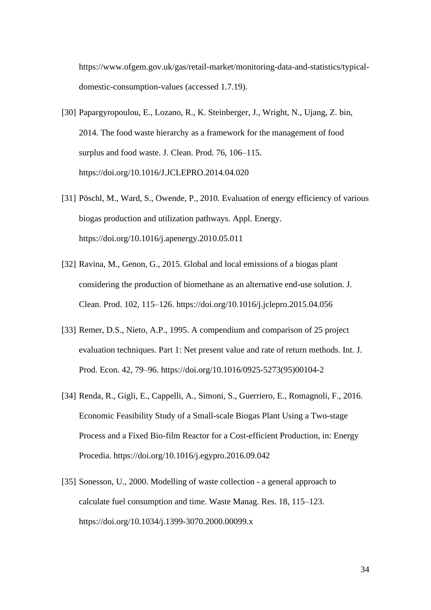https://www.ofgem.gov.uk/gas/retail-market/monitoring-data-and-statistics/typicaldomestic-consumption-values (accessed 1.7.19).

- [30] Papargyropoulou, E., Lozano, R., K. Steinberger, J., Wright, N., Ujang, Z. bin, 2014. The food waste hierarchy as a framework for the management of food surplus and food waste. J. Clean. Prod. 76, 106–115. https://doi.org/10.1016/J.JCLEPRO.2014.04.020
- [31] Pöschl, M., Ward, S., Owende, P., 2010. Evaluation of energy efficiency of various biogas production and utilization pathways. Appl. Energy. https://doi.org/10.1016/j.apenergy.2010.05.011
- [32] Ravina, M., Genon, G., 2015. Global and local emissions of a biogas plant considering the production of biomethane as an alternative end-use solution. J. Clean. Prod. 102, 115–126. https://doi.org/10.1016/j.jclepro.2015.04.056
- [33] Remer, D.S., Nieto, A.P., 1995. A compendium and comparison of 25 project evaluation techniques. Part 1: Net present value and rate of return methods. Int. J. Prod. Econ. 42, 79–96. https://doi.org/10.1016/0925-5273(95)00104-2
- [34] Renda, R., Gigli, E., Cappelli, A., Simoni, S., Guerriero, E., Romagnoli, F., 2016. Economic Feasibility Study of a Small-scale Biogas Plant Using a Two-stage Process and a Fixed Bio-film Reactor for a Cost-efficient Production, in: Energy Procedia. https://doi.org/10.1016/j.egypro.2016.09.042
- [35] Sonesson, U., 2000. Modelling of waste collection a general approach to calculate fuel consumption and time. Waste Manag. Res. 18, 115–123. https://doi.org/10.1034/j.1399-3070.2000.00099.x